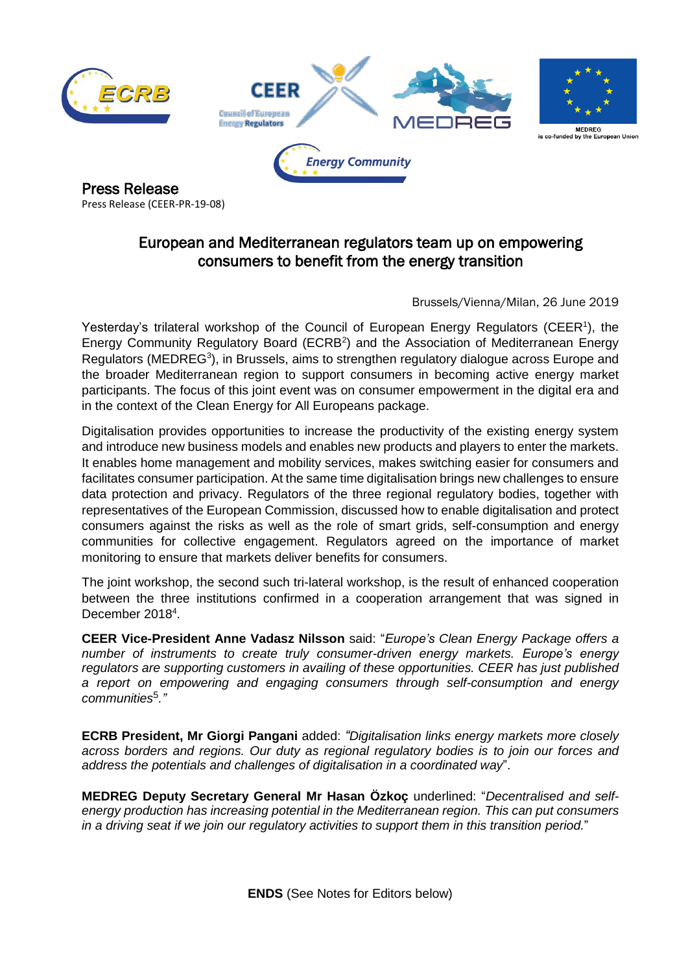

Press Release (CEER-PR-19-08)

## European and Mediterranean regulators team up on empowering consumers to benefit from the energy transition

Brussels/Vienna/Milan, 26 June 2019

Yesterday's trilateral workshop of the Council of European Energy [R](#page-1-0)egulators (CEER<sup>1</sup>), the Energy Community Regulatory Board (ECRB<sup>[2](#page-1-1)</sup>) and the Association of Mediterranean Energy Regulators (MEDREG<sup>[3](#page-1-2)</sup>), in Brussels, aims to strengthen regulatory dialogue across Europe and the broader Mediterranean region to support consumers in becoming active energy market participants. The focus of this joint event was on consumer empowerment in the digital era and in the context of the Clean Energy for All Europeans package.

Digitalisation provides opportunities to increase the productivity of the existing energy system and introduce new business models and enables new products and players to enter the markets. It enables home management and mobility services, makes switching easier for consumers and facilitates consumer participation. At the same time digitalisation brings new challenges to ensure data protection and privacy. Regulators of the three regional regulatory bodies, together with representatives of the European Commission, discussed how to enable digitalisation and protect consumers against the risks as well as the role of smart grids, self-consumption and energy communities for collective engagement. Regulators agreed on the importance of market monitoring to ensure that markets deliver benefits for consumers.

The joint workshop, the second such tri-lateral workshop, is the result of enhanced cooperation between the three institutions confirmed in a cooperation arrangement that was signed in December 2018<sup>[4](#page-1-3)</sup>.

**CEER Vice-President Anne Vadasz Nilsson** said: "*Europe's Clean Energy Package offers a number of instruments to create truly consumer-driven energy markets. Europe's energy regulators are supporting customers in availing of these opportunities. CEER has just published a report on empowering and engaging consumers through self-consumption and energy communities*<sup>5</sup> *."*

**ECRB President, Mr Giorgi Pangani** added: *"Digitalisation links energy markets more closely across borders and regions. Our duty as regional regulatory bodies is to join our forces and address the potentials and challenges of digitalisation in a coordinated way*".

**MEDREG Deputy Secretary General Mr Hasan Özkoç** underlined: "*Decentralised and selfenergy production has increasing potential in the Mediterranean region. This can put consumers in a driving seat if we join our regulatory activities to support them in this transition period.*"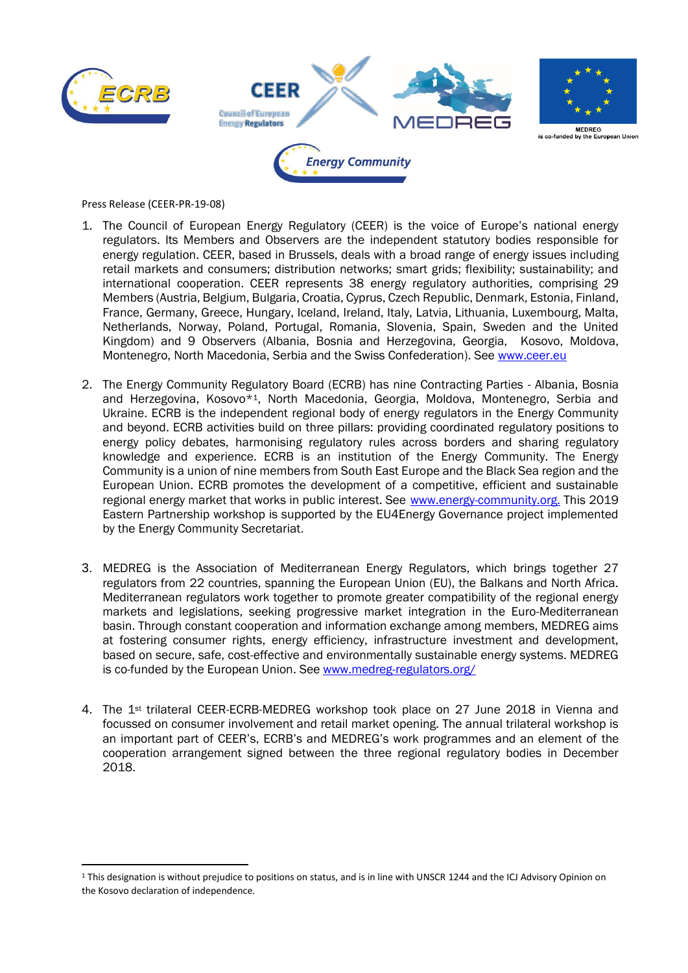

**.** 





is co-funded by …——<br>Ie European Unioi

Press Release (CEER-PR-19-08)

- <span id="page-1-0"></span> 1. The Council of European Energy Regulatory (CEER) is the voice of Europe's national energy regulators. Its Members and Observers are the independent statutory bodies responsible for energy regulation. CEER, based in Brussels, deals with a broad range of energy issues including retail markets and consumers; distribution networks; smart grids; flexibility; sustainability; and international cooperation. CEER represents 38 energy regulatory authorities, comprising 29 Members (Austria, Belgium, Bulgaria, Croatia, Cyprus, Czech Republic, Denmark, Estonia, Finland, France, Germany, Greece, Hungary, Iceland, Ireland, Italy, Latvia, Lithuania, Luxembourg, Malta, Netherlands, Norway, Poland, Portugal, Romania, Slovenia, Spain, Sweden and the United Kingdom) and 9 Observers (Albania, Bosnia and Herzegovina, Georgia, Kosovo, Moldova, Montenegro, North Macedonia, Serbia and the Swiss Confederation). See [www.ceer.eu](http://www.ceer.eu/)
- <span id="page-1-1"></span>2. The Energy Community Regulatory Board (ECRB) has nine Contracting Parties - Albania, Bosnia and Herzegovina, Kosovo\*1, North Macedonia, Georgia, Moldova, Montenegro, Serbia and Ukraine. ECRB is the independent regional body of energy regulators in the Energy Community and beyond. ECRB activities build on three pillars: providing coordinated regulatory positions to energy policy debates, harmonising regulatory rules across borders and sharing regulatory knowledge and experience. ECRB is an institution of the Energy Community. The Energy Community is a union of nine members from South East Europe and the Black Sea region and the European Union. ECRB promotes the development of a competitive, efficient and sustainable regional energy market that works in public interest. See [www.energy-community.org.](http://www.energy-community.org/) This 2019 Eastern Partnership workshop is supported by the EU4Energy Governance project implemented by the Energy Community Secretariat.
- <span id="page-1-2"></span>3. MEDREG is the Association of Mediterranean Energy Regulators, which brings together 27 regulators from 22 countries, spanning the European Union (EU), the Balkans and North Africa. Mediterranean regulators work together to promote greater compatibility of the regional energy markets and legislations, seeking progressive market integration in the Euro-Mediterranean basin. Through constant cooperation and information exchange among members, MEDREG aims at fostering consumer rights, energy efficiency, infrastructure investment and development, based on secure, safe, cost-effective and environmentally sustainable energy systems. MEDREG is co-funded by the European Union. See [www.medreg-regulators.org/](http://www.medreg-regulators.org/)
- <span id="page-1-3"></span>4. The 1st trilateral CEER-ECRB-MEDREG workshop took place on 27 June 2018 in Vienna and focussed on consumer involvement and retail market opening. The annual trilateral workshop is an important part of CEER's, ECRB's and MEDREG's work programmes and an element of the cooperation arrangement signed between the three regional regulatory bodies in December 2018.

<sup>&</sup>lt;sup>1</sup> This designation is without prejudice to positions on status, and is in line with UNSCR 1244 and the ICJ Advisory Opinion on the Kosovo declaration of independence.